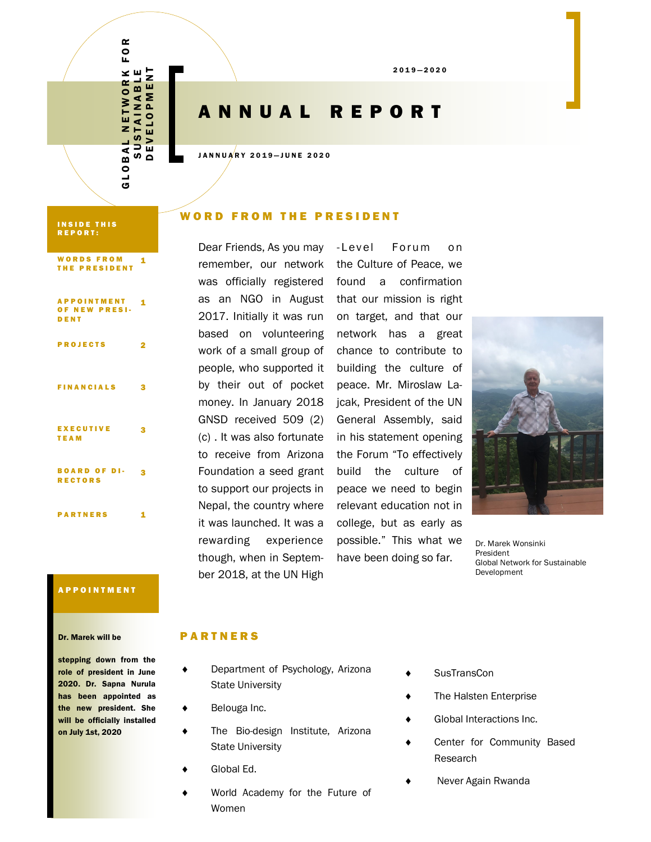2 0 1 9 — 2 0 2 0

## A N N U A L R E P O R T

JANNUARY 2019-JUNE 2020

#### **INSIDE THIS** R E P O R T :

#### WORDS FROM THE PRESIDENT 1

G L O B A L N E T W O R K F O R S U S T A I N A B L E D E V E L O P M E N T

 $\overline{A}$  $\overline{0}$ ය

ORK<br>BLE<br>1ENT

BAL NETWORK<br>SUSTAINABLE<br>DEVELOPMEN

 $\alpha$  $\overline{0}$ 

| <b>APPOINTMENT</b><br>OF NEW PRESI-<br>DENT | 1 |
|---------------------------------------------|---|
| <b>PROJECTS</b>                             | 2 |
| <b>FINANCIALS</b>                           | 3 |
| <b>EXECUTIVE</b><br><b>TEAM</b>             | з |
| <b>BOARD OF DI-</b><br><b>RECTORS</b>       | з |
| <b>PARTNERS</b>                             |   |

#### WORD FROM THE PRESIDENT

Dear Friends, As you may - Level by their out of pocket GNSD received 509 (2) (c) . It was also fortunate to receive from Arizona Foundation a seed grant to support our projects in Nepal, the country where it was launched. It was a rewarding experience though, when in September 2018, at the UN High

remember, our network the Culture of Peace, we was officially registered found a confirmation as an NGO in August that our mission is right 2017. Initially it was run on target, and that our based on volunteering network has a great work of a small group of chance to contribute to people, who supported it building the culture of money. In January 2018 jcak, President of the UN Forum on peace. Mr. Miroslaw La-General Assembly, said in his statement opening the Forum "To effectively build the culture of peace we need to begin relevant education not in college, but as early as possible." This what we have been doing so far.



Dr. Marek Wonsinki President Global Network for Sustainable Development

#### A P P O I N T M E N T

#### Dr. Marek will be

stepping down from the role of president in June 2020. Dr. Sapna Nurula has been appointed as the new president. She will be officially installed on July 1st, 2020

#### **PARTNERS**

- ◆ Department of Psychology, Arizona State University
- ◆ Belouga Inc.
- The Bio-design Institute, Arizona State University
- Global Ed.
- World Academy for the Future of Women
- ◆ SusTransCon
- ◆ The Halsten Enterprise
- Global Interactions Inc.
- Center for Community Based Research
	- Never Again Rwanda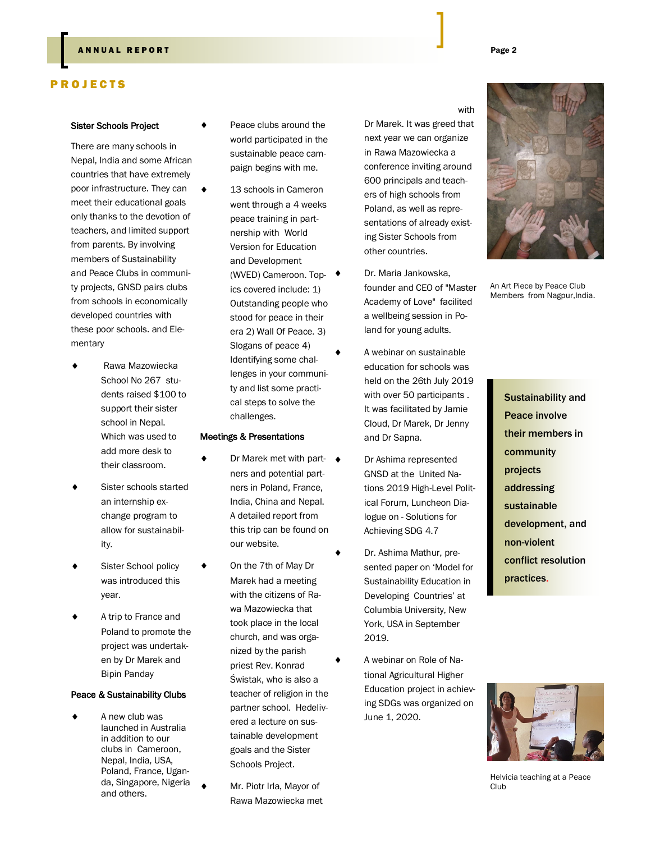#### **P R O J E C T S**

#### Sister Schools Project

There are many schools in Nepal, India and some African countries that have extremely poor infrastructure. They can meet their educational goals only thanks to the devotion of teachers, and limited support from parents. By involving members of Sustainability and Peace Clubs in community projects, GNSD pairs clubs from schools in economically developed countries with these poor schools. and Elementary

- Rawa Mazowiecka School No 267 students raised \$100 to support their sister school in Nepal. Which was used to add more desk to their classroom.
- Sister schools started an internship exchange program to allow for sustainability.
- Sister School policy was introduced this year.
- A trip to France and Poland to promote the project was undertaken by Dr Marek and Bipin Panday

#### Peace & Sustainability Clubs

 A new club was launched in Australia in addition to our clubs in Cameroon, Nepal, India, USA, Poland, France, Uganda, Singapore, Nigeria and others.

- Peace clubs around the world participated in the sustainable peace campaign begins with me.
- ◆ 13 schools in Cameron went through a 4 weeks peace training in partnership with World Version for Education and Development (WVED) Cameroon. Topics covered include: 1) Outstanding people who stood for peace in their era 2) Wall Of Peace. 3) Slogans of peace 4) Identifying some challenges in your community and list some practical steps to solve the challenges.

#### Meetings & Presentations

- Dr Marek met with part- ◆ ners and potential partners in Poland, France, India, China and Nepal. A detailed report from this trip can be found on our website.
	- On the 7th of May Dr Marek had a meeting with the citizens of Rawa Mazowiecka that took place in the local church, and was organized by the parish priest Rev. Konrad Świstak, who is also a teacher of religion in the partner school. Hedelivered a lecture on sustainable development goals and the Sister Schools Project.
	- Mr. Piotr Irla, Mayor of Rawa Mazowiecka met

Dr Marek. It was greed that

next year we can organize in Rawa Mazowiecka a conference inviting around 600 principals and teachers of high schools from Poland, as well as representations of already existing Sister Schools from other countries.

- Dr. Maria Jankowska, founder and CEO of "Master Academy of Love" facilited a wellbeing session in Poland for young adults.
- A webinar on sustainable education for schools was held on the 26th July 2019 with over 50 participants . It was facilitated by Jamie Cloud, Dr Marek, Dr Jenny and Dr Sapna.
- Dr Ashima represented GNSD at the United Nations 2019 High-Level Political Forum, Luncheon Dialogue on - Solutions for Achieving SDG 4.7
- Dr. Ashima Mathur, presented paper on "Model for Sustainability Education in Developing Countries' at Columbia University, New York, USA in September 2019.
- A webinar on Role of National Agricultural Higher Education project in achieving SDGs was organized on June 1, 2020.





An Art Piece by Peace Club Members from Nagpur,India.

> Sustainability and Peace involve their members in community projects addressing sustainable development, and non-violent conflict resolution practices.



Helvicia teaching at a Peace Club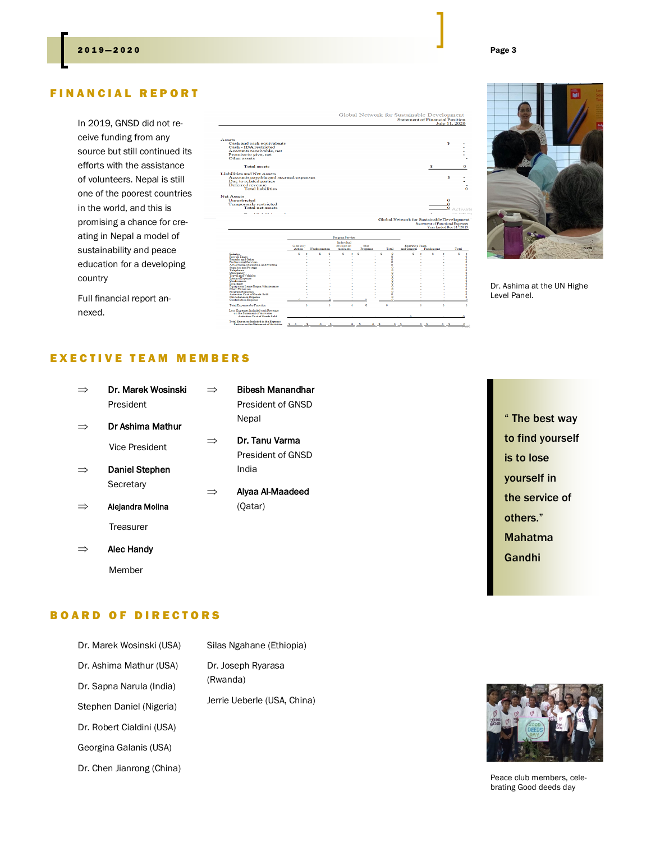#### **FINANCIAL REPORT**

In 2019, GNSD did not receive funding from any source but still continued its efforts with the assistance of volunteers. Nepal is still one of the poorest countries in the world, and this is promising a chance for creating in Nepal a model of sustainability and peace education for a developing country





Dr. Ashima at the UN Highe Level Panel.

Full financial report annexed.

### EXECTIVE TEAM MEMBERS

|   | Dr. Marek Wosinski<br>President |   | <b>Bibesh Manandhar</b><br>President of GNSD |
|---|---------------------------------|---|----------------------------------------------|
|   | Dr Ashima Mathur                |   | Nepal                                        |
|   | Vice President                  | ⇒ | Dr. Tanu Varma<br>President of GNSD          |
| ⇒ | <b>Daniel Stephen</b>           |   | India                                        |
|   | Secretary                       | ⇒ | Alyaa Al-Maadeed                             |
|   | Alejandra Molina                |   | (Qatar)                                      |
|   | Treasurer                       |   |                                              |
|   | Alec Handy                      |   |                                              |

" The best way to find yourself is to lose yourself in the service of others." Mahatma Gandhi

#### **BOARD OF DIRECTORS**

Member

| Dr. Marek Wosinski (USA)  | Silas Ngahane (Ethiopia)                                      |
|---------------------------|---------------------------------------------------------------|
| Dr. Ashima Mathur (USA)   | Dr. Joseph Ryarasa<br>(Rwanda)<br>Jerrie Ueberle (USA, China) |
| Dr. Sapna Narula (India)  |                                                               |
| Stephen Daniel (Nigeria)  |                                                               |
| Dr. Robert Cialdini (USA) |                                                               |
| Georgina Galanis (USA)    |                                                               |
| Dr. Chen Jianrong (China) |                                                               |



Peace club members, celebrating Good deeds day